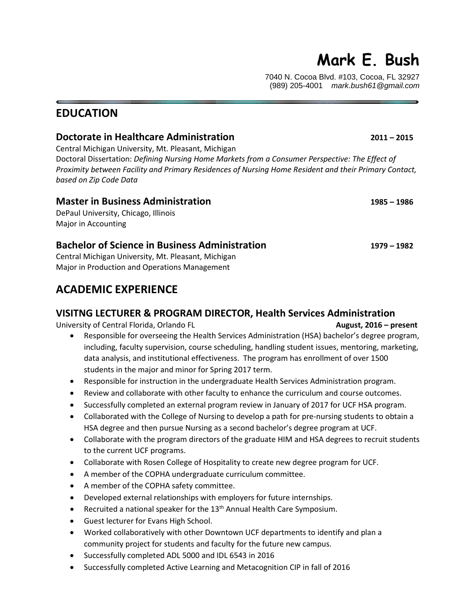# **Mark E. Bush**

7040 N. Cocoa Blvd. #103, Cocoa, FL 32927 (989) 205-4001 *mark.bush61@gmail.com*

# **EDUCATION**

### **Doctorate in Healthcare Administration 2011 – 2015**

Central Michigan University, Mt. Pleasant, Michigan

Doctoral Dissertation: *Defining Nursing Home Markets from a Consumer Perspective: The Effect of Proximity between Facility and Primary Residences of Nursing Home Resident and their Primary Contact, based on Zip Code Data* 

### **Master in Business Administration 1985 – 1986**

DePaul University, Chicago, Illinois Major in Accounting

### **Bachelor of Science in Business Administration 1979 – 1982**

Central Michigan University, Mt. Pleasant, Michigan Major in Production and Operations Management

# **ACADEMIC EXPERIENCE**

### **VISITNG LECTURER & PROGRAM DIRECTOR, Health Services Administration**

University of Central Florida, Orlando FL **August, 2016 – present** 

- Responsible for overseeing the Health Services Administration (HSA) bachelor's degree program, including, faculty supervision, course scheduling, handling student issues, mentoring, marketing, data analysis, and institutional effectiveness. The program has enrollment of over 1500 students in the major and minor for Spring 2017 term.
- Responsible for instruction in the undergraduate Health Services Administration program.
- Review and collaborate with other faculty to enhance the curriculum and course outcomes.
- Successfully completed an external program review in January of 2017 for UCF HSA program.
- Collaborated with the College of Nursing to develop a path for pre-nursing students to obtain a HSA degree and then pursue Nursing as a second bachelor's degree program at UCF.
- Collaborate with the program directors of the graduate HIM and HSA degrees to recruit students to the current UCF programs.
- Collaborate with Rosen College of Hospitality to create new degree program for UCF.
- A member of the COPHA undergraduate curriculum committee.
- A member of the COPHA safety committee.
- Developed external relationships with employers for future internships.
- Recruited a national speaker for the  $13<sup>th</sup>$  Annual Health Care Symposium.
- Guest lecturer for Evans High School.
- Worked collaboratively with other Downtown UCF departments to identify and plan a community project for students and faculty for the future new campus.
- Successfully completed ADL 5000 and IDL 6543 in 2016
- Successfully completed Active Learning and Metacognition CIP in fall of 2016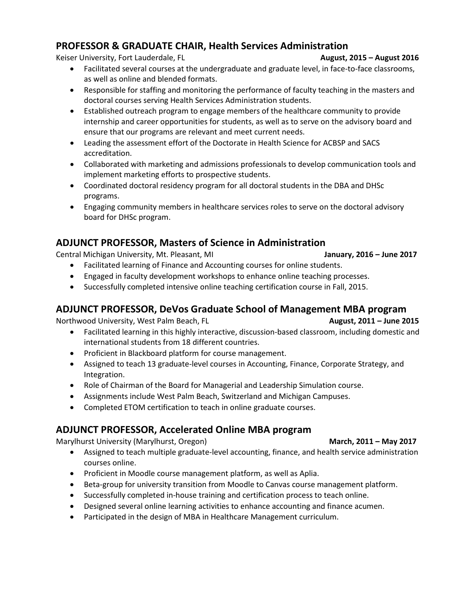### **PROFESSOR & GRADUATE CHAIR, Health Services Administration**

Keiser University, Fort Lauderdale, FL **August, 2015 – August, 2016** 

- Facilitated several courses at the undergraduate and graduate level, in face-to-face classrooms, as well as online and blended formats.
- Responsible for staffing and monitoring the performance of faculty teaching in the masters and doctoral courses serving Health Services Administration students.
- Established outreach program to engage members of the healthcare community to provide internship and career opportunities for students, as well as to serve on the advisory board and ensure that our programs are relevant and meet current needs.
- Leading the assessment effort of the Doctorate in Health Science for ACBSP and SACS accreditation.
- Collaborated with marketing and admissions professionals to develop communication tools and implement marketing efforts to prospective students.
- Coordinated doctoral residency program for all doctoral students in the DBA and DHSc programs.
- Engaging community members in healthcare services roles to serve on the doctoral advisory board for DHSc program.

### **ADJUNCT PROFESSOR, Masters of Science in Administration**

Central Michigan University, Mt. Pleasant, MI **January, 2016 – June 2017**

- Facilitated learning of Finance and Accounting courses for online students.
- Engaged in faculty development workshops to enhance online teaching processes.
- Successfully completed intensive online teaching certification course in Fall, 2015.

### **ADJUNCT PROFESSOR, DeVos Graduate School of Management MBA program**

Northwood University, West Palm Beach, FL **August, 2011 – June 2015**

- Facilitated learning in this highly interactive, discussion-based classroom, including domestic and international students from 18 different countries.
- Proficient in Blackboard platform for course management.
- Assigned to teach 13 graduate-level courses in Accounting, Finance, Corporate Strategy, and Integration.
- Role of Chairman of the Board for Managerial and Leadership Simulation course.
- Assignments include West Palm Beach, Switzerland and Michigan Campuses.
- Completed ETOM certification to teach in online graduate courses.

### **ADJUNCT PROFESSOR, Accelerated Online MBA program**

Marylhurst University (Marylhurst, Oregon) **March, 2011 – May 2017**

- Assigned to teach multiple graduate-level accounting, finance, and health service administration courses online.
- Proficient in Moodle course management platform, as well as Aplia.
- Beta-group for university transition from Moodle to Canvas course management platform.
- Successfully completed in-house training and certification process to teach online.
- Designed several online learning activities to enhance accounting and finance acumen.
- Participated in the design of MBA in Healthcare Management curriculum.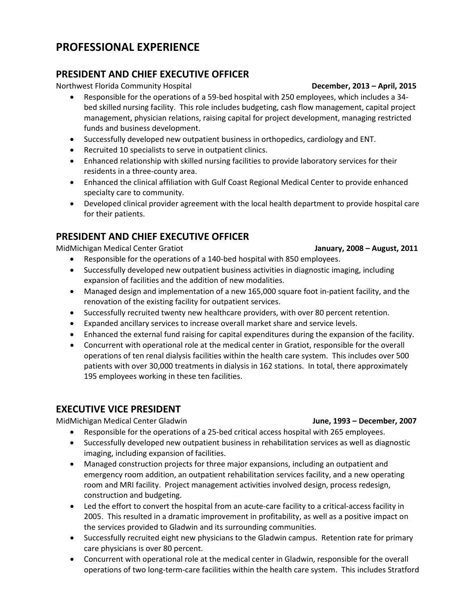# **PROFESSIONAL EXPERIENCE**

### **PRESIDENT AND CHIEF EXECUTIVE OFFICER**

Northwest Florida Community Hospital **December, 2013 – April, 2015**

- Responsible for the operations of a 59-bed hospital with 250 employees, which includes a 34 bed skilled nursing facility. This role includes budgeting, cash flow management, capital project management, physician relations, raising capital for project development, managing restricted funds and business development.
- Successfully developed new outpatient business in orthopedics, cardiology and ENT.
- Recruited 10 specialists to serve in outpatient clinics.
- Enhanced relationship with skilled nursing facilities to provide laboratory services for their residents in a three-county area.
- Enhanced the clinical affiliation with Gulf Coast Regional Medical Center to provide enhanced specialty care to community.
- Developed clinical provider agreement with the local health department to provide hospital care for their patients.

## **PRESIDENT AND CHIEF EXECUTIVE OFFICER**

MidMichigan Medical Center Gratiot **January, 2008 – August, 2011**

- Responsible for the operations of a 140-bed hospital with 850 employees.
- Successfully developed new outpatient business activities in diagnostic imaging, including expansion of facilities and the addition of new modalities.
- Managed design and implementation of a new 165,000 square foot in-patient facility, and the renovation of the existing facility for outpatient services.
- Successfully recruited twenty new healthcare providers, with over 80 percent retention.
- Expanded ancillary services to increase overall market share and service levels.
- Enhanced the external fund raising for capital expenditures during the expansion of the facility.
- Concurrent with operational role at the medical center in Gratiot, responsible for the overall operations of ten renal dialysis facilities within the health care system. This includes over 500 patients with over 30,000 treatments in dialysis in 162 stations. In total, there approximately 195 employees working in these ten facilities.

### **EXECUTIVE VICE PRESIDENT**

MidMichigan Medical Center Gladwin **June, 1993 – December, 2007**

- Responsible for the operations of a 25-bed critical access hospital with 265 employees.
- Successfully developed new outpatient business in rehabilitation services as well as diagnostic imaging, including expansion of facilities.
- Managed construction projects for three major expansions, including an outpatient and emergency room addition, an outpatient rehabilitation services facility, and a new operating room and MRI facility. Project management activities involved design, process redesign, construction and budgeting.
- Led the effort to convert the hospital from an acute-care facility to a critical-access facility in 2005. This resulted in a dramatic improvement in profitability, as well as a positive impact on the services provided to Gladwin and its surrounding communities.
- Successfully recruited eight new physicians to the Gladwin campus. Retention rate for primary care physicians is over 80 percent.
- Concurrent with operational role at the medical center in Gladwin, responsible for the overall operations of two long-term-care facilities within the health care system. This includes Stratford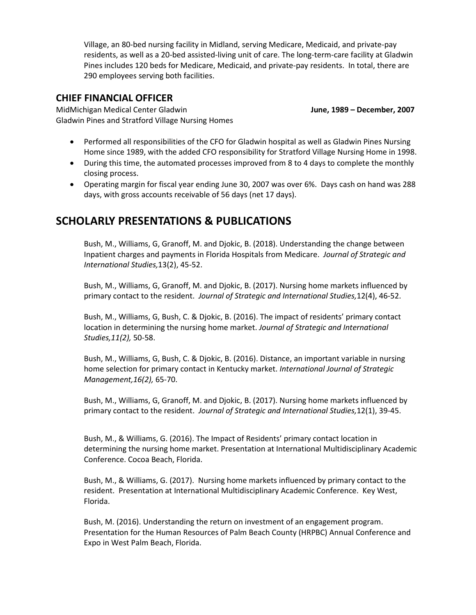Village, an 80-bed nursing facility in Midland, serving Medicare, Medicaid, and private-pay residents, as well as a 20-bed assisted-living unit of care. The long-term-care facility at Gladwin Pines includes 120 beds for Medicare, Medicaid, and private-pay residents. In total, there are 290 employees serving both facilities.

### **CHIEF FINANCIAL OFFICER**

MidMichigan Medical Center Gladwin **June, 1989 – December, 2007** Gladwin Pines and Stratford Village Nursing Homes

- Performed all responsibilities of the CFO for Gladwin hospital as well as Gladwin Pines Nursing Home since 1989, with the added CFO responsibility for Stratford Village Nursing Home in 1998.
- During this time, the automated processes improved from 8 to 4 days to complete the monthly closing process.
- Operating margin for fiscal year ending June 30, 2007 was over 6%. Days cash on hand was 288 days, with gross accounts receivable of 56 days (net 17 days).

# **SCHOLARLY PRESENTATIONS & PUBLICATIONS**

Bush, M., Williams, G, Granoff, M. and Djokic, B. (2018). Understanding the change between Inpatient charges and payments in Florida Hospitals from Medicare. *Journal of Strategic and International Studies,*13(2), 45-52.

Bush, M., Williams, G, Granoff, M. and Djokic, B. (2017). Nursing home markets influenced by primary contact to the resident. *Journal of Strategic and International Studies,*12(4), 46-52.

Bush, M., Williams, G, Bush, C. & Djokic, B. (2016). The impact of residents' primary contact location in determining the nursing home market. *Journal of Strategic and International Studies,11(2),* 50-58.

Bush, M., Williams, G, Bush, C. & Djokic, B. (2016). Distance, an important variable in nursing home selection for primary contact in Kentucky market. *International Journal of Strategic Management,16(2),* 65-70.

Bush, M., Williams, G, Granoff, M. and Djokic, B. (2017). Nursing home markets influenced by primary contact to the resident. *Journal of Strategic and International Studies,*12(1), 39-45.

Bush, M., & Williams, G. (2016). The Impact of Residents' primary contact location in determining the nursing home market. Presentation at International Multidisciplinary Academic Conference. Cocoa Beach, Florida.

Bush, M., & Williams, G. (2017). Nursing home markets influenced by primary contact to the resident. Presentation at International Multidisciplinary Academic Conference. Key West, Florida.

Bush, M. (2016). Understanding the return on investment of an engagement program. Presentation for the Human Resources of Palm Beach County (HRPBC) Annual Conference and Expo in West Palm Beach, Florida.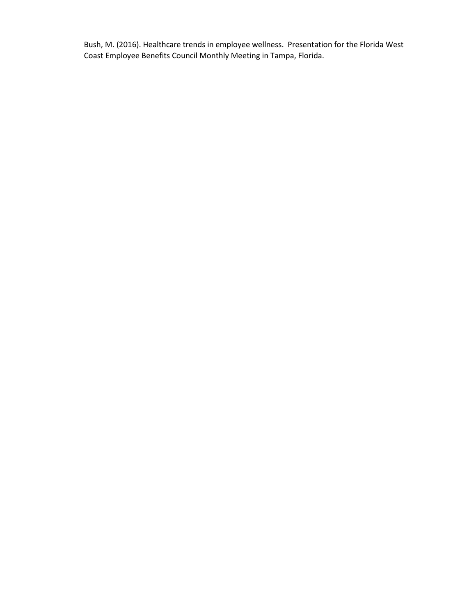Bush, M. (2016). Healthcare trends in employee wellness. Presentation for the Florida West Coast Employee Benefits Council Monthly Meeting in Tampa, Florida.